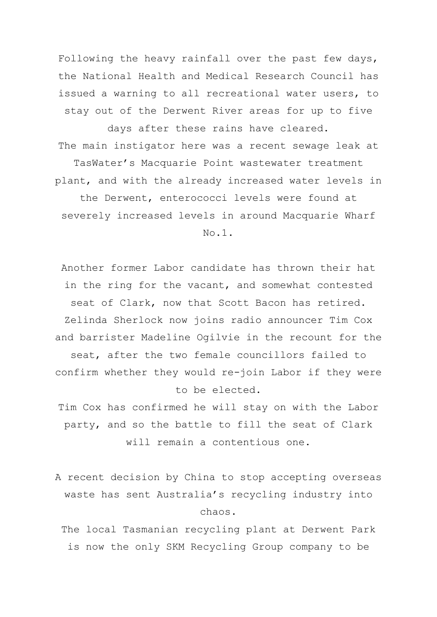Following the heavy rainfall over the past few days, the National Health and Medical Research Council has issued a warning to all recreational water users, to stay out of the Derwent River areas for up to five days after these rains have cleared. The main instigator here was a recent sewage leak at TasWater's Macquarie Point wastewater treatment plant, and with the already increased water levels in the Derwent, enterococci levels were found at severely increased levels in around Macquarie Wharf

No.1.

Another former Labor candidate has thrown their hat in the ring for the vacant, and somewhat contested seat of Clark, now that Scott Bacon has retired. Zelinda Sherlock now joins radio announcer Tim Cox and barrister Madeline Ogilvie in the recount for the seat, after the two female councillors failed to confirm whether they would re-join Labor if they were to be elected.

Tim Cox has confirmed he will stay on with the Labor party, and so the battle to fill the seat of Clark will remain a contentious one.

A recent decision by China to stop accepting overseas waste has sent Australia's recycling industry into chaos.

The local Tasmanian recycling plant at Derwent Park is now the only SKM Recycling Group company to be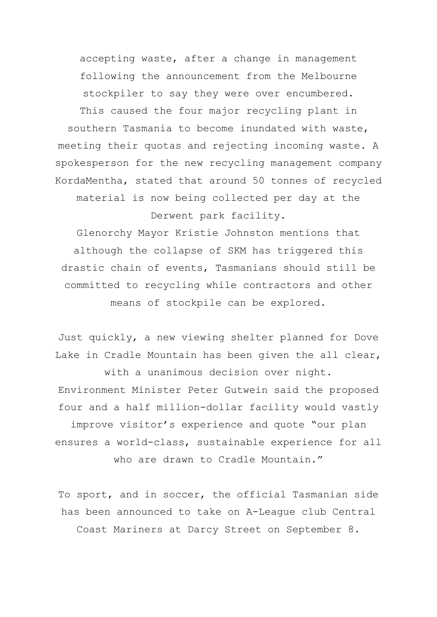accepting waste, after a change in management following the announcement from the Melbourne stockpiler to say they were over encumbered. This caused the four major recycling plant in southern Tasmania to become inundated with waste, meeting their quotas and rejecting incoming waste. A spokesperson for the new recycling management company

material is now being collected per day at the Derwent park facility.

KordaMentha, stated that around 50 tonnes of recycled

Glenorchy Mayor Kristie Johnston mentions that although the collapse of SKM has triggered this drastic chain of events, Tasmanians should still be committed to recycling while contractors and other means of stockpile can be explored.

Just quickly, a new viewing shelter planned for Dove Lake in Cradle Mountain has been given the all clear, with a unanimous decision over night. Environment Minister Peter Gutwein said the proposed four and a half million-dollar facility would vastly improve visitor's experience and quote "our plan ensures a world-class, sustainable experience for all who are drawn to Cradle Mountain."

To sport, and in soccer, the official Tasmanian side has been announced to take on A-League club Central Coast Mariners at Darcy Street on September 8.